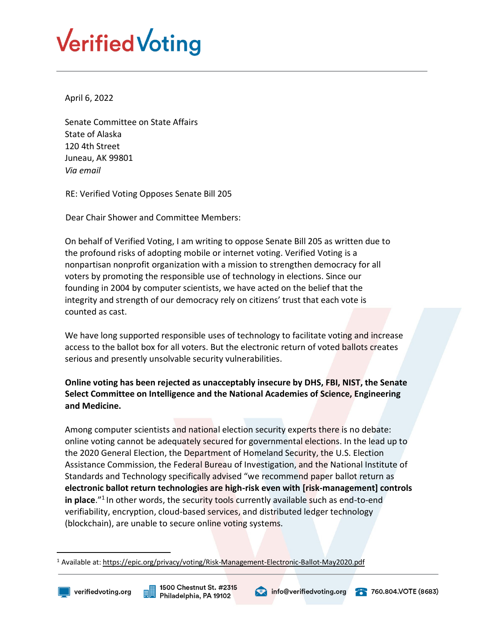## **Verified Voting**

April 6, 2022

Senate Committee on State Affairs State of Alaska 120 4th Street Juneau, AK 99801 *Via email*

RE: Verified Voting Opposes Senate Bill 205

Dear Chair Shower and Committee Members:

On behalf of Verified Voting, I am writing to oppose Senate Bill 205 as written due to the profound risks of adopting mobile or internet voting. Verified Voting is a nonpartisan nonprofit organization with a mission to strengthen democracy for all voters by promoting the responsible use of technology in elections. Since our founding in 2004 by computer scientists, we have acted on the belief that the integrity and strength of our democracy rely on citizens' trust that each vote is counted as cast.

We have long supported responsible uses of technology to facilitate voting and increase access to the ballot box for all voters. But the electronic return of voted ballots creates serious and presently unsolvable security vulnerabilities.

## **Online voting has been rejected as unacceptably insecure by DHS, FBI, NIST, the Senate Select Committee on Intelligence and the National Academies of Science, Engineering and Medicine.**

Among computer scientists and national election security experts there is no debate: online voting cannot be adequately secured for governmental elections. In the lead up to the 2020 General Election, the Department of Homeland Security, the U.S. Election Assistance Commission, the Federal Bureau of Investigation, and the National Institute of Standards and Technology specifically advised "we recommend paper ballot return as **electronic ballot return technologies are high-risk even with [risk-management] controls**  in place.<sup>"1</sup> In other words, the security tools currently available such as end-to-end verifiability, encryption, cloud-based services, and distributed ledger technology (blockchain), are unable to secure online voting systems.

 $\overline{a}$ 



<sup>&</sup>lt;sup>1</sup> Available at:<https://epic.org/privacy/voting/Risk-Management-Electronic-Ballot-May2020.pdf>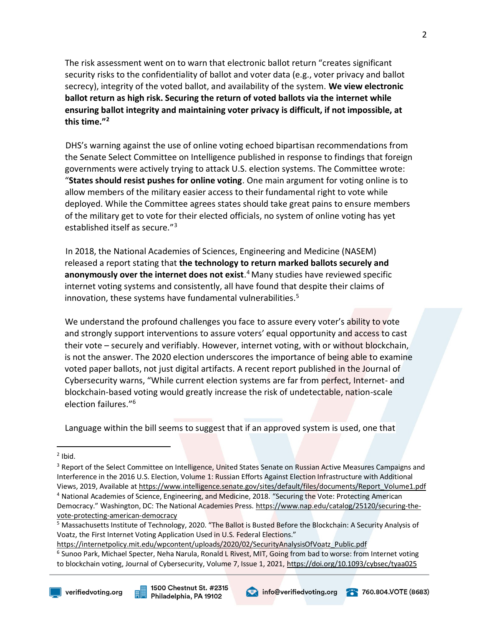The risk assessment went on to warn that electronic ballot return "creates significant security risks to the confidentiality of ballot and voter data (e.g., voter privacy and ballot secrecy), integrity of the voted ballot, and availability of the system. **We view electronic ballot return as high risk. Securing the return of voted ballots via the internet while ensuring ballot integrity and maintaining voter privacy is difficult, if not impossible, at this time."<sup>2</sup>**

DHS's warning against the use of online voting echoed bipartisan recommendations from the Senate Select Committee on Intelligence published in response to findings that foreign governments were actively trying to attack U.S. election systems. The Committee wrote: "**States should resist pushes for online voting**. One main argument for voting online is to allow members of the military easier access to their fundamental right to vote while deployed. While the Committee agrees states should take great pains to ensure members of the military get to vote for their elected officials, no system of online voting has yet established itself as secure."<sup>3</sup>

In 2018, the National Academies of Sciences, Engineering and Medicine (NASEM) released a report stating that **the technology to return marked ballots securely and anonymously over the internet does not exist**. <sup>4</sup> Many studies have reviewed specific internet voting systems and consistently, all have found that despite their claims of innovation, these systems have fundamental vulnerabilities.<sup>5</sup>

We understand the profound challenges you face to assure every voter's ability to vote and strongly support interventions to assure voters' equal opportunity and access to cast their vote – securely and verifiably. However, internet voting, with or without blockchain, is not the answer. The 2020 election underscores the importance of being able to examine voted paper ballots, not just digital artifacts. A recent report published in the Journal of Cybersecurity warns, "While current election systems are far from perfect, Internet- and blockchain-based voting would greatly increase the risk of undetectable, nation-scale election failures."<sup>6</sup>

Language within the bill seems to suggest that if an approved system is used, one that

 $\overline{a}$ 



 $2$  Ibid.

<sup>&</sup>lt;sup>3</sup> Report of the Select Committee on Intelligence, United States Senate on Russian Active Measures Campaigns and Interference in the 2016 U.S. Election, Volume 1: Russian Efforts Against Election Infrastructure with Additional Views, 2019, Available at https://www.intelligence.senate.gov/sites/default/files/documents/Report\_Volume1.pdf <sup>4</sup> National Academies of Science, Engineering, and Medicine, 2018. "Securing the Vote: Protecting American

Democracy." Washington, DC: The National Academies Press. https://www.nap.edu/catalog/25120/securing-thevote-protecting-american-democracy

<sup>&</sup>lt;sup>5</sup> Massachusetts Institute of Technology, 2020. "The Ballot is Busted Before the Blockchain: A Security Analysis of Voatz, the First Internet Voting Application Used in U.S. Federal Elections."

https://internetpolicy.mit.edu/wpcontent/uploads/2020/02/SecurityAnalysisOfVoatz\_Public.pdf <sup>6</sup> Sunoo Park, Michael Specter, Neha Narula, Ronald L Rivest, MIT, Going from bad to worse: from Internet voting to blockchain voting, Journal of Cybersecurity, Volume 7, Issue 1, 2021, https://doi.org/10.1093/cybsec/tyaa025